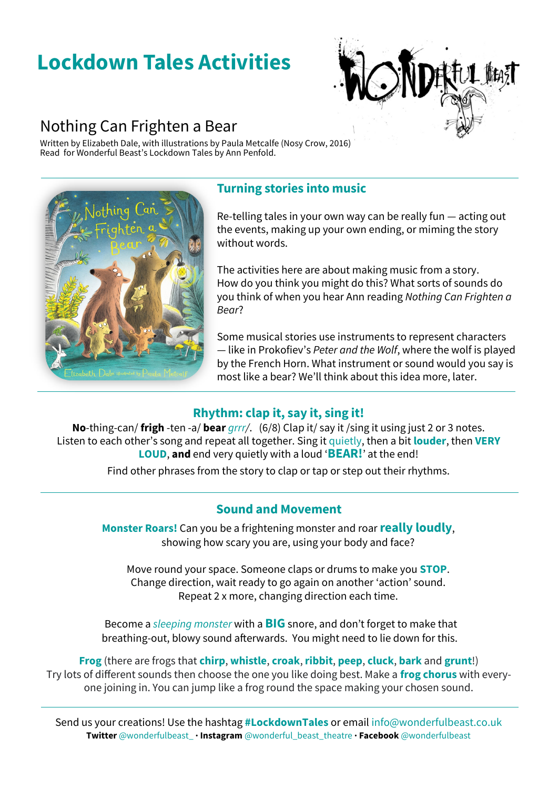# **Lockdown Tales Activities**



## Nothing Can Frighten a Bear

Written by Elizabeth Dale, with illustrations by Paula Metcalfe (Nosy Crow, 2016) Read for Wonderful Beast's Lockdown Tales by Ann Penfold.



### **Turning stories into music**

Re-telling tales in your own way can be really fun — acting out the events, making up your own ending, or miming the story without words.

The activities here are about making music from a story. How do you think you might do this? What sorts of sounds do you think of when you hear Ann reading *Nothing Can Frighten a Bear*?

Some musical stories use instruments to represent characters — like in Prokofiev's *Peter and the Wolf*, where the wolf is played by the French Horn. What instrument or sound would you say is most like a bear? We'll think about this idea more, later.

### **Rhythm: clap it, say it, sing it!**

**No**-thing-can/ **frigh** -ten -a/ **bear** *grrr/*. (6/8) Clap it/ say it /sing it using just 2 or 3 notes. Listen to each other's song and repeat all together. Sing it quietly, then a bit **louder**, then **VERY LOUD**, **and** end very quietly with a loud '**BEAR!**' at the end!

Find other phrases from the story to clap or tap or step out their rhythms.

### **Sound and Movement**

**Monster Roars!** Can you be a frightening monster and roar **really loudly**, showing how scary you are, using your body and face?

Move round your space. Someone claps or drums to make you **STOP**. Change direction, wait ready to go again on another 'action' sound. Repeat 2 x more, changing direction each time.

Become a *sleeping monster* with a **BIG** snore, and don't forget to make that breathing-out, blowy sound afterwards. You might need to lie down for this.

**Frog** (there are frogs that **chirp**, **whistle**, **croak**, **ribbit**, **peep**, **cluck**, **bark** and **grunt**!) Try lots of different sounds then choose the one you like doing best. Make a **frog chorus** with everyone joining in. You can jump like a frog round the space making your chosen sound.

Send us your creations! Use the hashtag **#LockdownTales** or email info@wonderfulbeast.co.uk **Twitter** @wonderfulbeast\_ **· Instagram** @wonderful\_beast\_theatre **· Facebook** @wonderfulbeast